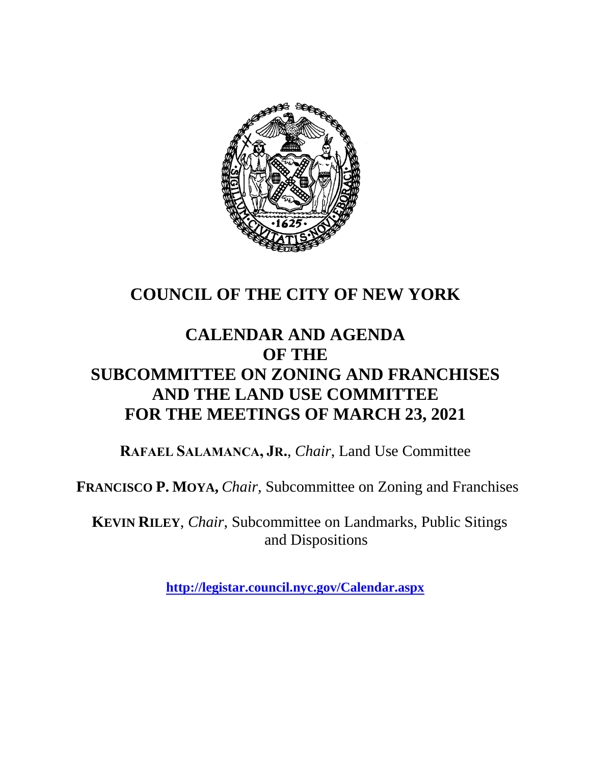

## **COUNCIL OF THE CITY OF NEW YORK**

## **CALENDAR AND AGENDA OF THE SUBCOMMITTEE ON ZONING AND FRANCHISES AND THE LAND USE COMMITTEE FOR THE MEETINGS OF MARCH 23, 2021**

**RAFAEL SALAMANCA, JR.**, *Chair*, Land Use Committee

**FRANCISCO P. MOYA,** *Chair,* Subcommittee on Zoning and Franchises

**KEVIN RILEY**, *Chair*, Subcommittee on Landmarks, Public Sitings and Dispositions

**<http://legistar.council.nyc.gov/Calendar.aspx>**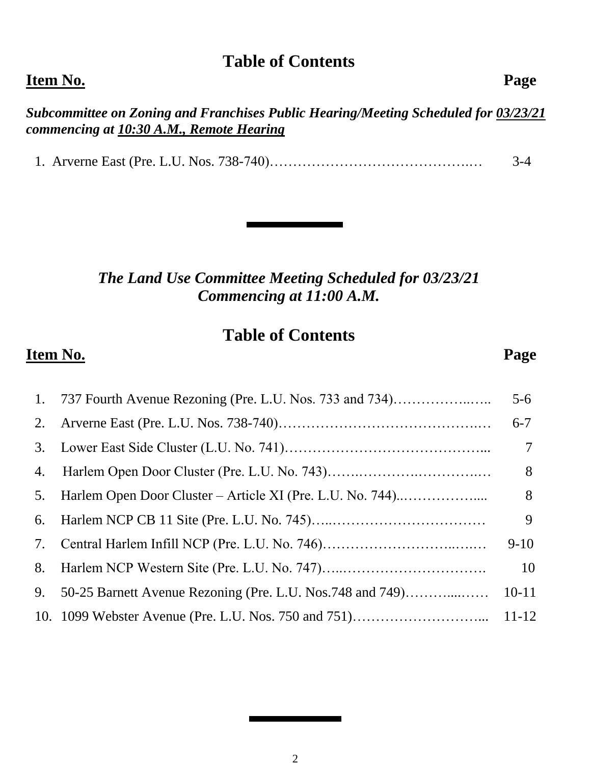# **Table of Contents**

#### **Item No. Page**

*Subcommittee on Zoning and Franchises Public Hearing/Meeting Scheduled for 03/23/21 commencing at 10:30 A.M., Remote Hearing*

1. Arverne East (Pre. L.U. Nos. 738-740)…………………………………….… 3-4

*The Land Use Committee Meeting Scheduled for 03/23/21 Commencing at 11:00 A.M.*

### **Table of Contents**

#### **Item No. Page**

|    | 1. 737 Fourth Avenue Rezoning (Pre. L.U. Nos. 733 and 734) | $5 - 6$        |
|----|------------------------------------------------------------|----------------|
| 2. |                                                            | $6 - 7$        |
| 3. |                                                            | $\overline{7}$ |
| 4. |                                                            | 8              |
| 5. | Harlem Open Door Cluster – Article XI (Pre. L.U. No. 744)  | 8              |
| 6. |                                                            | 9              |
| 7. |                                                            | $9-10$         |
| 8. |                                                            | 10             |
| 9. | 50-25 Barnett Avenue Rezoning (Pre. L.U. Nos.748 and 749)  | $10 - 11$      |
|    |                                                            | $11 - 12$      |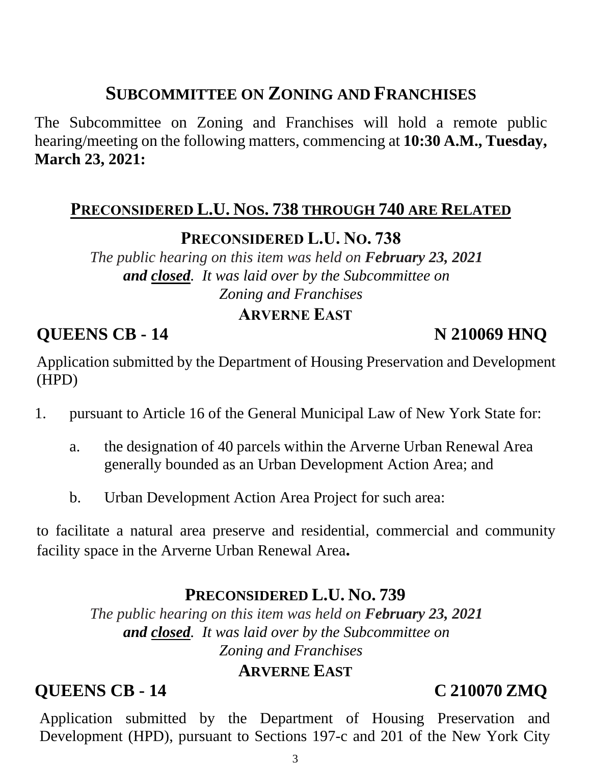# **SUBCOMMITTEE ON ZONING AND FRANCHISES**

The Subcommittee on Zoning and Franchises will hold a remote public hearing/meeting on the following matters, commencing at **10:30 A.M., Tuesday, March 23, 2021:**

#### **PRECONSIDERED L.U. NOS. 738 THROUGH 740 ARE RELATED**

#### **PRECONSIDERED L.U. NO. 738**

*The public hearing on this item was held on February 23, 2021 and closed. It was laid over by the Subcommittee on Zoning and Franchises*

#### **ARVERNE EAST**

**OUEENS CB - 14** N 210069 HNO

Application submitted by the Department of Housing Preservation and Development (HPD)

- 1. pursuant to Article 16 of the General Municipal Law of New York State for:
	- a. the designation of 40 parcels within the Arverne Urban Renewal Area generally bounded as an Urban Development Action Area; and
	- b. Urban Development Action Area Project for such area:

to facilitate a natural area preserve and residential, commercial and community facility space in the Arverne Urban Renewal Area**.**

#### **PRECONSIDERED L.U. NO. 739**

*The public hearing on this item was held on February 23, 2021 and closed. It was laid over by the Subcommittee on Zoning and Franchises*

#### **ARVERNE EAST**

#### **QUEENS CB - 14 C 210070 ZMQ**

Application submitted by the Department of Housing Preservation and Development (HPD), pursuant to Sections 197-c and 201 of the New York City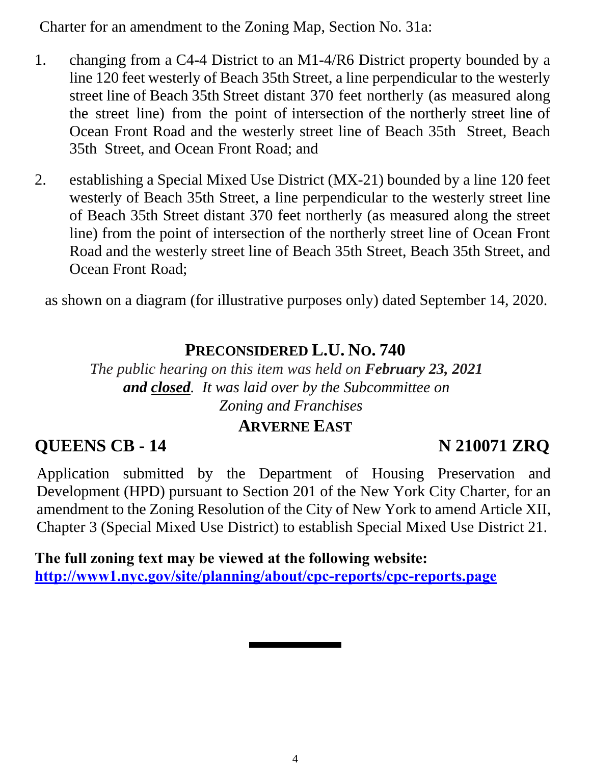Charter for an amendment to the Zoning Map, Section No. 31a:

- 1. changing from a C4-4 District to an M1-4/R6 District property bounded by a line 120 feet westerly of Beach 35th Street, a line perpendicular to the westerly street line of Beach 35th Street distant 370 feet northerly (as measured along the street line) from the point of intersection of the northerly street line of Ocean Front Road and the westerly street line of Beach 35th Street, Beach 35th Street, and Ocean Front Road; and
- 2. establishing a Special Mixed Use District (MX-21) bounded by a line 120 feet westerly of Beach 35th Street, a line perpendicular to the westerly street line of Beach 35th Street distant 370 feet northerly (as measured along the street line) from the point of intersection of the northerly street line of Ocean Front Road and the westerly street line of Beach 35th Street, Beach 35th Street, and Ocean Front Road;

as shown on a diagram (for illustrative purposes only) dated September 14, 2020.

#### **PRECONSIDERED L.U. NO. 740**

*The public hearing on this item was held on February 23, 2021 and closed. It was laid over by the Subcommittee on Zoning and Franchises*

#### **ARVERNE EAST**

#### **QUEENS CB - 14 N 210071 ZRQ**

Application submitted by the Department of Housing Preservation and Development (HPD) pursuant to Section 201 of the New York City Charter, for an amendment to the Zoning Resolution of the City of New York to amend Article XII, Chapter 3 (Special Mixed Use District) to establish Special Mixed Use District 21.

**The full zoning text may be viewed at the following website: <http://www1.nyc.gov/site/planning/about/cpc-reports/cpc-reports.page>**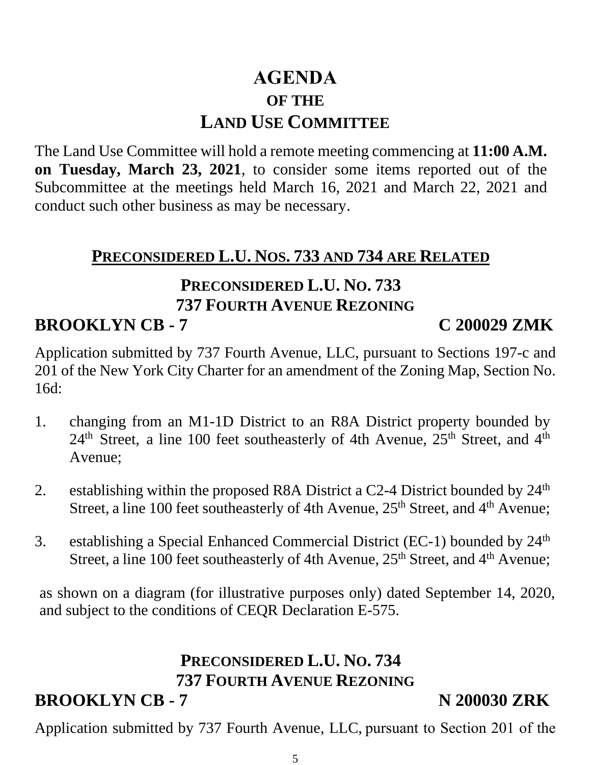# **AGENDA OF THE LAND USE COMMITTEE**

The Land Use Committee will hold a remote meeting commencing at **11:00 A.M. on Tuesday, March 23, 2021**, to consider some items reported out of the Subcommittee at the meetings held March 16, 2021 and March 22, 2021 and conduct such other business as may be necessary.

### **PRECONSIDERED L.U. NOS. 733 AND 734 ARE RELATED**

### **PRECONSIDERED L.U. NO. 733 737 FOURTH AVENUE REZONING BROOKLYN CB - 7 C 200029 ZMK**

Application submitted by 737 Fourth Avenue, LLC, pursuant to Sections 197-c and 201 of the New York City Charter for an amendment of the Zoning Map, Section No. 16d:

- 1. changing from an M1-1D District to an R8A District property bounded by  $24<sup>th</sup>$  Street, a line 100 feet southeasterly of 4th Avenue,  $25<sup>th</sup>$  Street, and  $4<sup>th</sup>$ Avenue;
- 2. establishing within the proposed R8A District a C2-4 District bounded by  $24<sup>th</sup>$ Street, a line 100 feet southeasterly of 4th Avenue, 25<sup>th</sup> Street, and 4<sup>th</sup> Avenue;
- 3. establishing a Special Enhanced Commercial District (EC-1) bounded by 24<sup>th</sup> Street, a line 100 feet southeasterly of 4th Avenue, 25<sup>th</sup> Street, and 4<sup>th</sup> Avenue;

as shown on a diagram (for illustrative purposes only) dated September 14, 2020, and subject to the conditions of CEQR Declaration E-575.

# **PRECONSIDERED L.U. NO. 734 737 FOURTH AVENUE REZONING**

# **BROOKLYN CB - 7** N 200030 ZRK

Application submitted by 737 Fourth Avenue, LLC, pursuant to Section 201 of the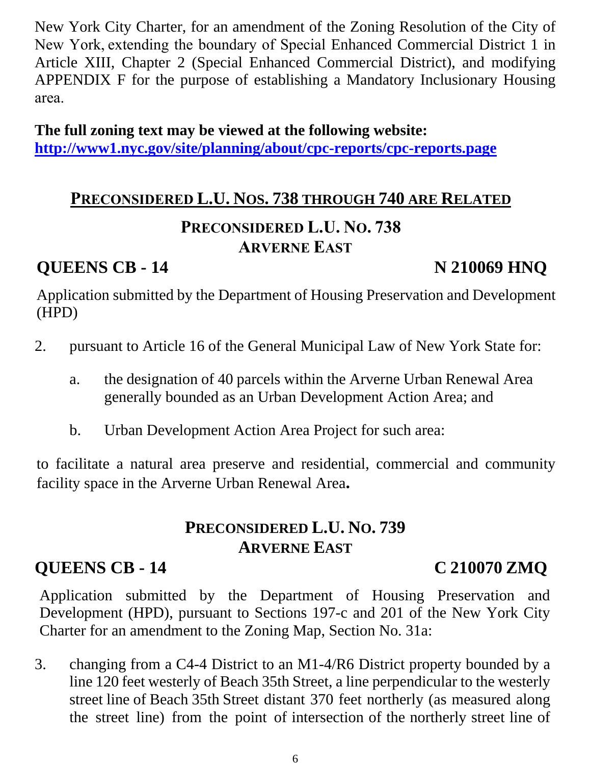New York City Charter, for an amendment of the Zoning Resolution of the City of New York, extending the boundary of Special Enhanced Commercial District 1 in Article XIII, Chapter 2 (Special Enhanced Commercial District), and modifying APPENDIX F for the purpose of establishing a Mandatory Inclusionary Housing area. 

**The full zoning text may be viewed at the following website: <http://www1.nyc.gov/site/planning/about/cpc-reports/cpc-reports.page>**

# **PRECONSIDERED L.U. NOS. 738 THROUGH 740 ARE RELATED PRECONSIDERED L.U. NO. 738**

#### **ARVERNE EAST**

### **QUEENS CB - 14** N 210069 HNQ

Application submitted by the Department of Housing Preservation and Development (HPD)

- 2. pursuant to Article 16 of the General Municipal Law of New York State for:
	- a. the designation of 40 parcels within the Arverne Urban Renewal Area generally bounded as an Urban Development Action Area; and
	- b. Urban Development Action Area Project for such area:

to facilitate a natural area preserve and residential, commercial and community facility space in the Arverne Urban Renewal Area**.**

## **PRECONSIDERED L.U. NO. 739 ARVERNE EAST**

## **QUEENS CB - 14 C 210070 ZMQ**

Application submitted by the Department of Housing Preservation and Development (HPD), pursuant to Sections 197-c and 201 of the New York City Charter for an amendment to the Zoning Map, Section No. 31a:

3. changing from a C4-4 District to an M1-4/R6 District property bounded by a line 120 feet westerly of Beach 35th Street, a line perpendicular to the westerly street line of Beach 35th Street distant 370 feet northerly (as measured along the street line) from the point of intersection of the northerly street line of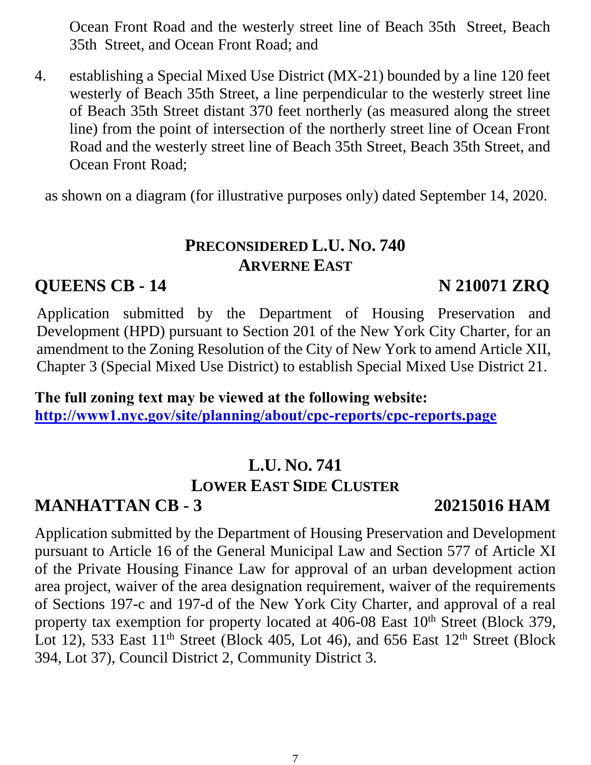Ocean Front Road and the westerly street line of Beach 35th Street, Beach 35th Street, and Ocean Front Road; and

4. establishing a Special Mixed Use District (MX-21) bounded by a line 120 feet westerly of Beach 35th Street, a line perpendicular to the westerly street line of Beach 35th Street distant 370 feet northerly (as measured along the street line) from the point of intersection of the northerly street line of Ocean Front Road and the westerly street line of Beach 35th Street, Beach 35th Street, and Ocean Front Road;

as shown on a diagram (for illustrative purposes only) dated September 14, 2020.

### **PRECONSIDERED L.U. NO. 740 ARVERNE EAST**

### **QUEENS CB - 14 N 210071 ZRQ**

Application submitted by the Department of Housing Preservation and Development (HPD) pursuant to Section 201 of the New York City Charter, for an amendment to the Zoning Resolution of the City of New York to amend Article XII, Chapter 3 (Special Mixed Use District) to establish Special Mixed Use District 21.

**The full zoning text may be viewed at the following website: <http://www1.nyc.gov/site/planning/about/cpc-reports/cpc-reports.page>**

# **L.U. NO. 741 LOWER EAST SIDE CLUSTER**

## **MANHATTAN CB - 3 20215016 HAM**

Application submitted by the Department of Housing Preservation and Development pursuant to Article 16 of the General Municipal Law and Section 577 of Article XI of the Private Housing Finance Law for approval of an urban development action area project, waiver of the area designation requirement, waiver of the requirements of Sections 197-c and 197-d of the New York City Charter, and approval of a real property tax exemption for property located at 406-08 East 10<sup>th</sup> Street (Block 379, Lot 12), 533 East  $11<sup>th</sup>$  Street (Block 405, Lot 46), and 656 East  $12<sup>th</sup>$  Street (Block 394, Lot 37), Council District 2, Community District 3.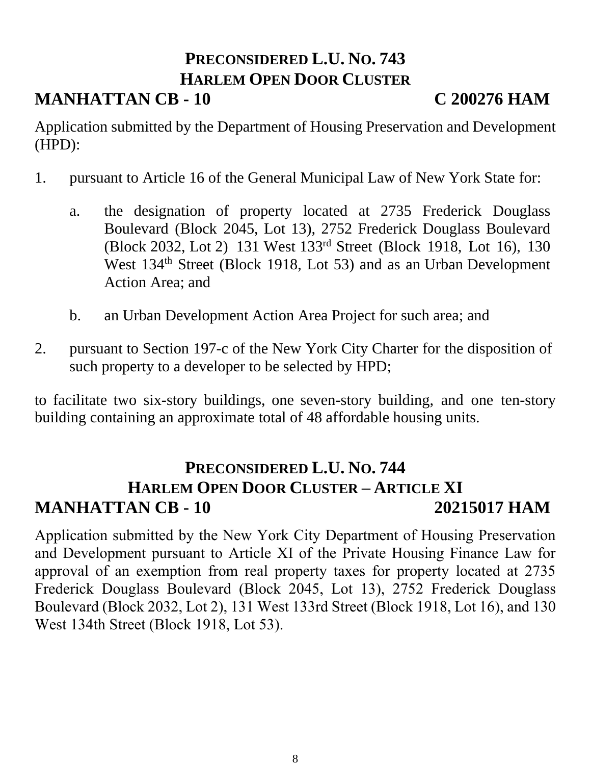# **PRECONSIDERED L.U. NO. 743 HARLEM OPEN DOOR CLUSTER**

## **MANHATTAN CB - 10 C 200276 HAM**

Application submitted by the Department of Housing Preservation and Development (HPD):

- 1. pursuant to Article 16 of the General Municipal Law of New York State for:
	- a. the designation of property located at 2735 Frederick Douglass Boulevard (Block 2045, Lot 13), 2752 Frederick Douglass Boulevard (Block 2032, Lot 2) 131 West 133rd Street (Block 1918, Lot 16), 130 West 134<sup>th</sup> Street (Block 1918, Lot 53) and as an Urban Development Action Area; and
	- b. an Urban Development Action Area Project for such area; and
- 2. pursuant to Section 197-c of the New York City Charter for the disposition of such property to a developer to be selected by HPD;

to facilitate two six-story buildings, one seven-story building, and one ten-story building containing an approximate total of 48 affordable housing units.

### **PRECONSIDERED L.U. NO. 744 HARLEM OPEN DOOR CLUSTER – ARTICLE XI MANHATTAN CB - 10 20215017 HAM**

Application submitted by the New York City Department of Housing Preservation and Development pursuant to Article XI of the Private Housing Finance Law for approval of an exemption from real property taxes for property located at 2735 Frederick Douglass Boulevard (Block 2045, Lot 13), 2752 Frederick Douglass Boulevard (Block 2032, Lot 2), 131 West 133rd Street (Block 1918, Lot 16), and 130 West 134th Street (Block 1918, Lot 53).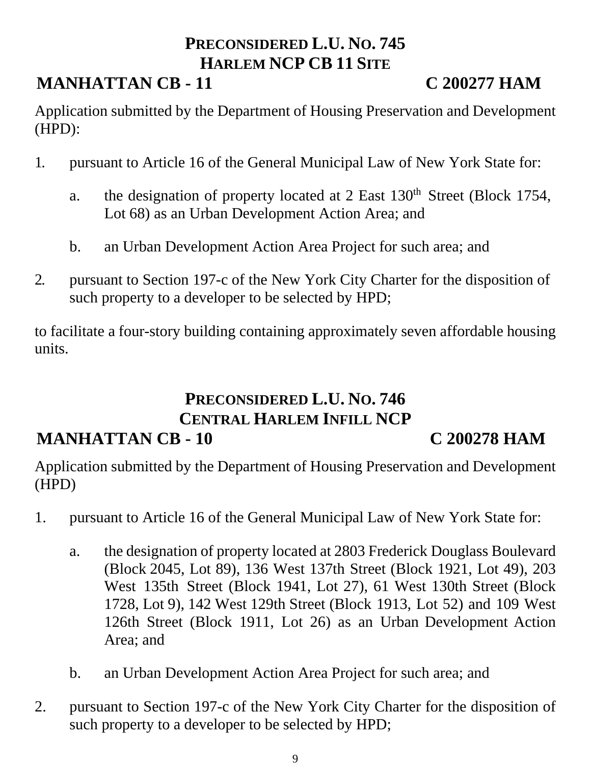### **PRECONSIDERED L.U. NO. 745 HARLEM NCP CB 11 SITE**

# **MANHATTAN CB - 11 C 200277 HAM**

Application submitted by the Department of Housing Preservation and Development (HPD):

- 1. pursuant to Article 16 of the General Municipal Law of New York State for:
	- a. the designation of property located at 2 East 130<sup>th</sup> Street (Block 1754, Lot 68) as an Urban Development Action Area; and
	- b. an Urban Development Action Area Project for such area; and
- 2. pursuant to Section 197-c of the New York City Charter for the disposition of such property to a developer to be selected by HPD;

to facilitate a four-story building containing approximately seven affordable housing units.

#### **PRECONSIDERED L.U. NO. 746 CENTRAL HARLEM INFILL NCP MANHATTAN CB - 10 C 200278 HAM**

Application submitted by the Department of Housing Preservation and Development (HPD)

- 1. pursuant to Article 16 of the General Municipal Law of New York State for:
	- a. the designation of property located at 2803 Frederick Douglass Boulevard (Block 2045, Lot 89), 136 West 137th Street (Block 1921, Lot 49), 203 West 135th Street (Block 1941, Lot 27), 61 West 130th Street (Block 1728, Lot 9), 142 West 129th Street (Block 1913, Lot 52) and 109 West 126th Street (Block 1911, Lot 26) as an Urban Development Action Area; and
	- b. an Urban Development Action Area Project for such area; and
- 2. pursuant to Section 197-c of the New York City Charter for the disposition of such property to a developer to be selected by HPD;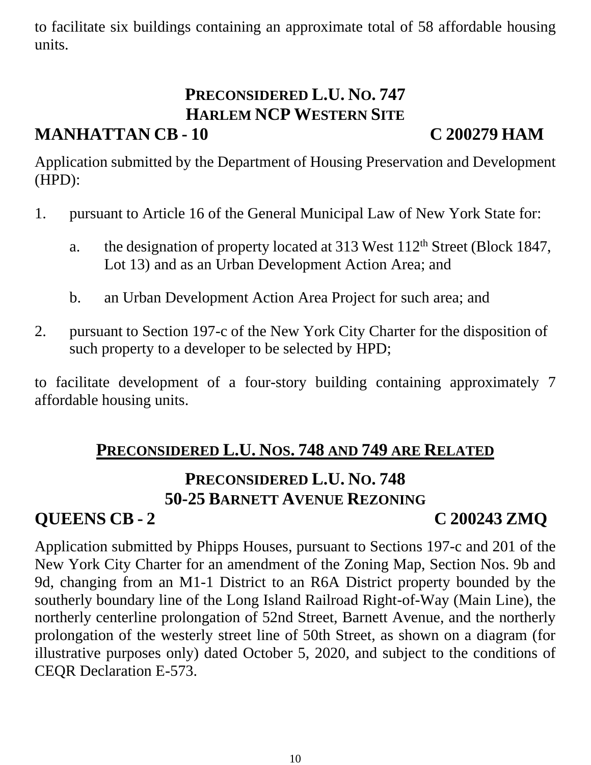to facilitate six buildings containing an approximate total of 58 affordable housing units.

# **PRECONSIDERED L.U. NO. 747 HARLEM NCP WESTERN SITE**

### **MANHATTAN CB - 10 C 200279 HAM**

Application submitted by the Department of Housing Preservation and Development (HPD):

- 1. pursuant to Article 16 of the General Municipal Law of New York State for:
	- a. the designation of property located at  $313$  West  $112<sup>th</sup>$  Street (Block 1847, Lot 13) and as an Urban Development Action Area; and
	- b. an Urban Development Action Area Project for such area; and
- 2. pursuant to Section 197-c of the New York City Charter for the disposition of such property to a developer to be selected by HPD;

to facilitate development of a four-story building containing approximately 7 affordable housing units.

# **PRECONSIDERED L.U. NOS. 748 AND 749 ARE RELATED**

### **PRECONSIDERED L.U. NO. 748 50-25 BARNETT AVENUE REZONING**

### **QUEENS CB - 2 C 200243 ZMQ**

Application submitted by Phipps Houses, pursuant to Sections 197-c and 201 of the New York City Charter for an amendment of the Zoning Map, Section Nos. 9b and 9d, changing from an M1-1 District to an R6A District property bounded by the southerly boundary line of the Long Island Railroad Right-of-Way (Main Line), the northerly centerline prolongation of 52nd Street, Barnett Avenue, and the northerly prolongation of the westerly street line of 50th Street, as shown on a diagram (for illustrative purposes only) dated October 5, 2020, and subject to the conditions of CEQR Declaration E-573.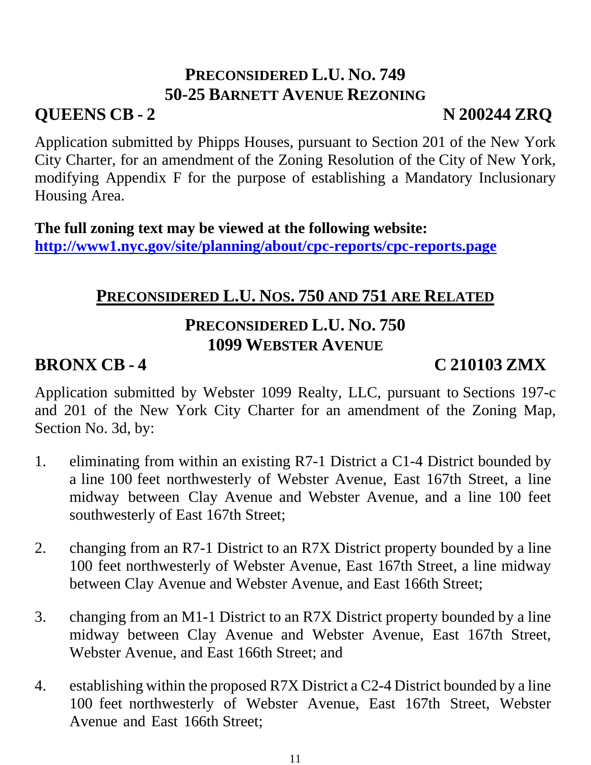### **PRECONSIDERED L.U. NO. 749 50-25 BARNETT AVENUE REZONING**

# **QUEENS CB - 2 N 200244 ZRQ**

Application submitted by Phipps Houses, pursuant to Section 201 of the New York City Charter, for an amendment of the Zoning Resolution of the City of New York, modifying Appendix F for the purpose of establishing a Mandatory Inclusionary Housing Area.

**The full zoning text may be viewed at the following website: <http://www1.nyc.gov/site/planning/about/cpc-reports/cpc-reports.page>**

### **PRECONSIDERED L.U. NOS. 750 AND 751 ARE RELATED**

### **PRECONSIDERED L.U. NO. 750 1099 WEBSTER AVENUE**

# **BRONX CB - 4 C 210103 ZMX**

Application submitted by Webster 1099 Realty, LLC, pursuant to Sections 197-c and 201 of the New York City Charter for an amendment of the Zoning Map, Section No. 3d, by:

- 1. eliminating from within an existing R7-1 District a C1-4 District bounded by a line 100 feet northwesterly of Webster Avenue, East 167th Street, a line midway between Clay Avenue and Webster Avenue, and a line 100 feet southwesterly of East 167th Street;
- 2. changing from an R7-1 District to an R7X District property bounded by a line 100 feet northwesterly of Webster Avenue, East 167th Street, a line midway between Clay Avenue and Webster Avenue, and East 166th Street;
- 3. changing from an M1-1 District to an R7X District property bounded by a line midway between Clay Avenue and Webster Avenue, East 167th Street, Webster Avenue, and East 166th Street; and
- 4. establishing within the proposed R7X District a C2-4 District bounded by a line 100 feet northwesterly of Webster Avenue, East 167th Street, Webster Avenue and East 166th Street;